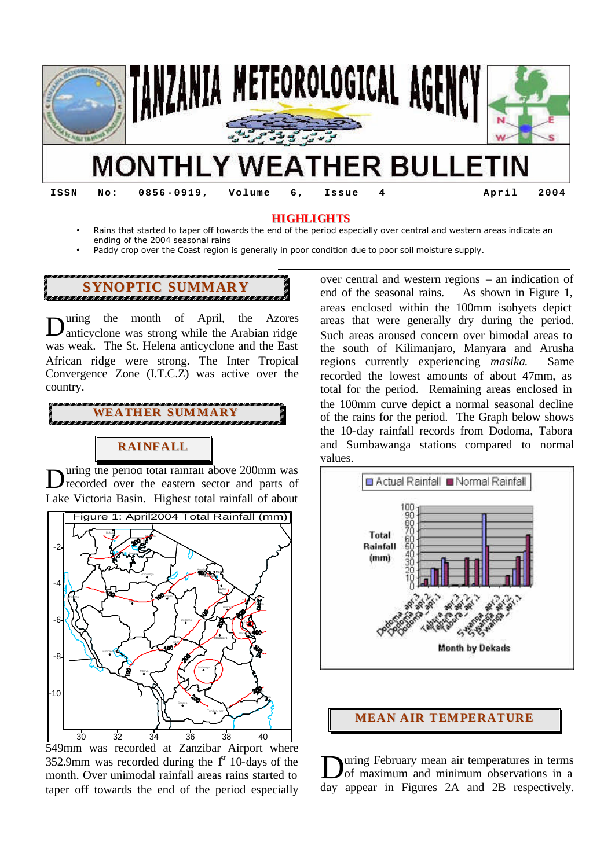

**ISSN No: 0856 -0919, Volume 6, Issue 4 April 2004**

#### **HIGHLIGHTS**

- Rains that started to taper off towards the end of the period especially over central and western areas indicate an ending of the 2004 seasonal rains
- Paddy crop over the Coast region is generally in poor condition due to poor soil moisture supply.

# **SYNOPTIC SUMMARY**

uring the month of April, the Azores anticyclone was strong while the Arabian ridge was weak. The St. Helena anticyclone and the East African ridge were strong. The Inter Tropical Convergence Zone (I.T.C.Z) was active over the country. D



# **RAINFALL**

uring the period total rainfall above 200mm was recorded over the eastern sector and parts of Lake Victoria Basin. Highest total rainfall of about D



549mm was recorded at Zanzibar Airport where 352.9mm was recorded during the  $1<sup>st</sup> 10$ -days of the month. Over unimodal rainfall areas rains started to taper off towards the end of the period especially

over central and western regions – an indication of end of the seasonal rains. As shown in Figure 1, areas enclosed within the 100mm isohyets depict areas that were generally dry during the period. Such areas aroused concern over bimodal areas to the south of Kilimanjaro, Manyara and Arusha regions currently experiencing *masika*. Same recorded the lowest amounts of about 47mm, as total for the period. Remaining areas enclosed in the 100mm curve depict a normal seasonal decline of the rains for the period. The Graph below shows the 10-day rainfall records from Dodoma, Tabora and Sumbawanga stations compared to normal values.



### **MEAN AIR TEMPERATURE**

uring February mean air temperatures in terms of maximum and minimum observations in a day appear in Figures 2A and 2B respectively. D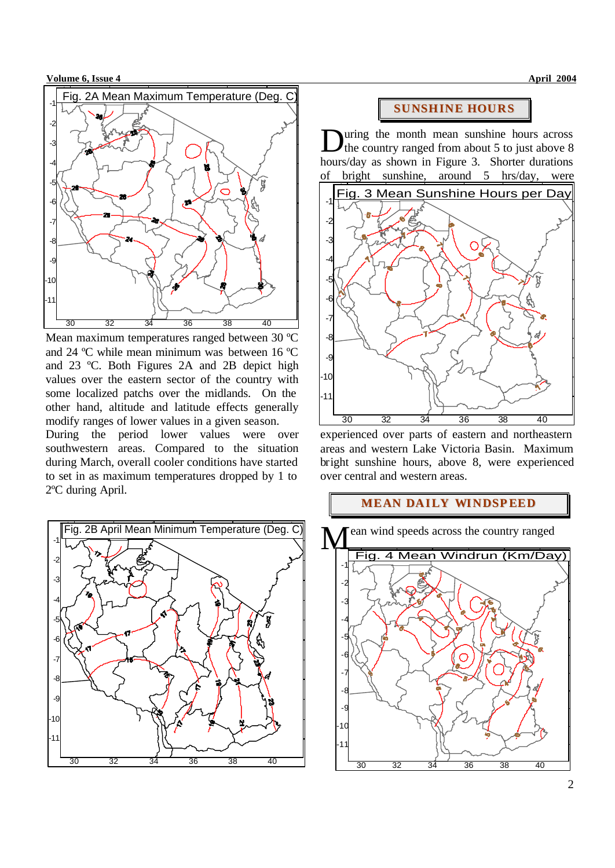**Volume 6, Issue 4 April 2004** 



Mean maximum temperatures ranged between 30 ºC and 24 ºC while mean minimum was between 16 ºC and 23 ºC. Both Figures 2A and 2B depict high values over the eastern sector of the country with some localized patchs over the midlands. On the other hand, altitude and latitude effects generally modify ranges of lower values in a given season.

During the period lower values were over southwestern areas. Compared to the situation during March, overall cooler conditions have started to set in as maximum temperatures dropped by 1 to 2ºC during April.



### **SUNSHINE HOURS**

uring the month mean sunshine hours across the country ranged from about 5 to just above 8 hours/day as shown in Figure 3. Shorter durations of bright sunshine, around 5 hrs/day, were D



experienced over parts of eastern and northeastern areas and western Lake Victoria Basin. Maximum bright sunshine hours, above 8, were experienced over central and western areas.

### **MEAN DAILY WINDSPEED**

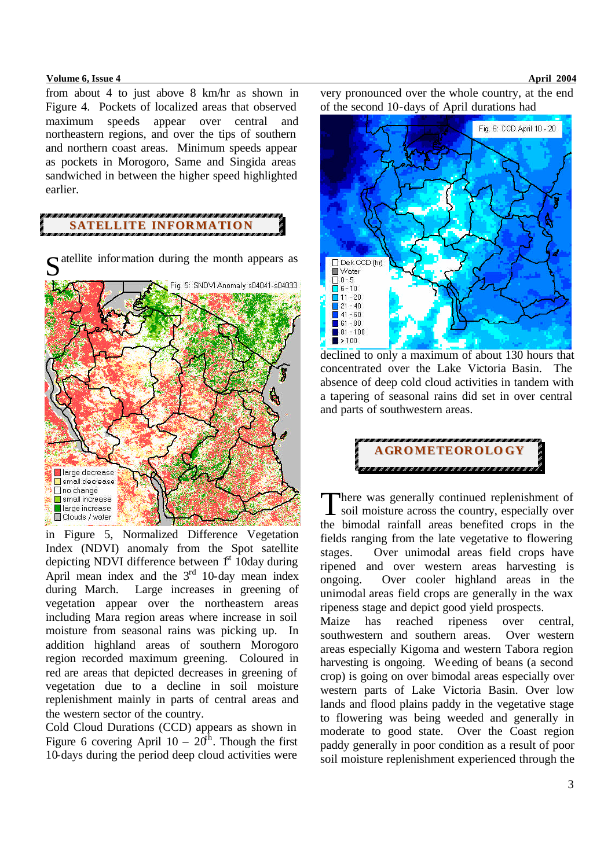#### **Volume 6, Issue 4 April 2004**

from about 4 to just above 8 km/hr as shown in Figure 4. Pockets of localized areas that observed maximum speeds appear over central and northeastern regions, and over the tips of southern and northern coast areas. Minimum speeds appear as pockets in Morogoro, Same and Singida areas sandwiched in between the higher speed highlighted earlier.

## **SATELLITE INFORMATION**



in Figure 5, Normalized Difference Vegetation Index (NDVI) anomaly from the Spot satellite depicting NDVI difference between  $1<sup>st</sup>$  10day during April mean index and the  $3<sup>rd</sup>$  10-day mean index during March. Large increases in greening of vegetation appear over the northeastern areas including Mara region areas where increase in soil moisture from seasonal rains was picking up. In addition highland areas of southern Morogoro region recorded maximum greening. Coloured in red are areas that depicted decreases in greening of vegetation due to a decline in soil moisture replenishment mainly in parts of central areas and the western sector of the country.

Cold Cloud Durations (CCD) appears as shown in Figure 6 covering April  $10 - 20<sup>th</sup>$ . Though the first 10-days during the period deep cloud activities were

very pronounced over the whole country, at the end of the second 10-days of April durations had



declined to only a maximum of about 130 hours that concentrated over the Lake Victoria Basin. The absence of deep cold cloud activities in tandem with a tapering of seasonal rains did set in over central and parts of southwestern areas.



here was generally continued replenishment of There was generally continued replenishment of<br>soil moisture across the country, especially over the bimodal rainfall areas benefited crops in the fields ranging from the late vegetative to flowering stages. Over unimodal areas field crops have ripened and over western areas harvesting is ongoing. Over cooler highland areas in the unimodal areas field crops are generally in the wax ripeness stage and depict good yield prospects.

Maize has reached ripeness over central, southwestern and southern areas. Over western areas especially Kigoma and western Tabora region harvesting is ongoing. We eding of beans (a second crop) is going on over bimodal areas especially over western parts of Lake Victoria Basin. Over low lands and flood plains paddy in the vegetative stage to flowering was being weeded and generally in moderate to good state. Over the Coast region paddy generally in poor condition as a result of poor soil moisture replenishment experienced through the